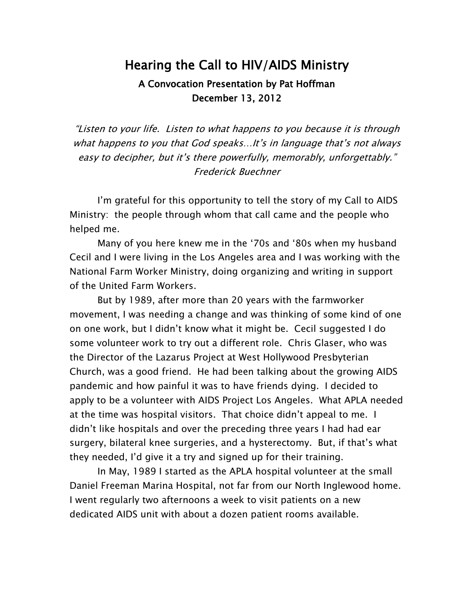# Hearing the Call to HIV/AIDS Ministry A Convocation Presentation by Pat Hoffman December 13, 2012

"Listen to your life. Listen to what happens to you because it is through what happens to you that God speaks…It's in language that's not always easy to decipher, but it's there powerfully, memorably, unforgettably." Frederick Buechner

I'm grateful for this opportunity to tell the story of my Call to AIDS Ministry: the people through whom that call came and the people who helped me.

Many of you here knew me in the '70s and '80s when my husband Cecil and I were living in the Los Angeles area and I was working with the National Farm Worker Ministry, doing organizing and writing in support of the United Farm Workers.

 But by 1989, after more than 20 years with the farmworker movement, I was needing a change and was thinking of some kind of one on one work, but I didn't know what it might be. Cecil suggested I do some volunteer work to try out a different role. Chris Glaser, who was the Director of the Lazarus Project at West Hollywood Presbyterian Church, was a good friend. He had been talking about the growing AIDS pandemic and how painful it was to have friends dying. I decided to apply to be a volunteer with AIDS Project Los Angeles. What APLA needed at the time was hospital visitors. That choice didn't appeal to me. I didn't like hospitals and over the preceding three years I had had ear surgery, bilateral knee surgeries, and a hysterectomy. But, if that's what they needed, I'd give it a try and signed up for their training.

In May, 1989 I started as the APLA hospital volunteer at the small Daniel Freeman Marina Hospital, not far from our North Inglewood home. I went regularly two afternoons a week to visit patients on a new dedicated AIDS unit with about a dozen patient rooms available.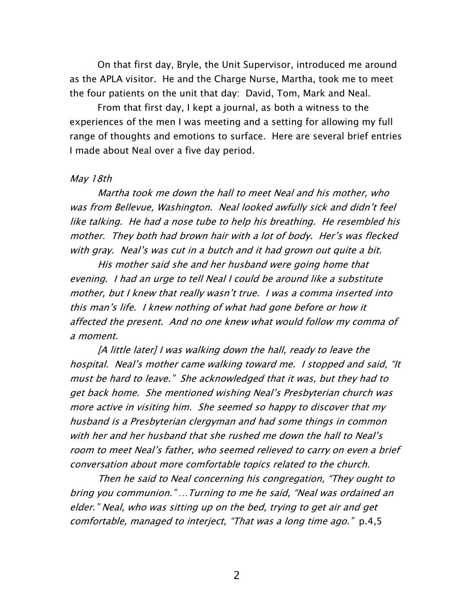On that first day, Bryle, the Unit Supervisor, introduced me around as the APLA visitor. He and the Charge Nurse, Martha, took me to meet the four patients on the unit that day: David, Tom, Mark and Neal.

From that first day, I kept a journal, as both a witness to the experiences of the men I was meeting and a setting for allowing my full range of thoughts and emotions to surface. Here are several brief entries I made about Neal over a five day period.

## May 18th

Martha took me down the hall to meet Neal and his mother, who was from Bellevue, Washington. Neal looked awfully sick and didn't feel like talking. He had a nose tube to help his breathing. He resembled his mother. They both had brown hair with a lot of body. Her's was flecked with gray. Neal's was cut in a butch and it had grown out quite a bit.

His mother said she and her husband were going home that evening. I had an urge to tell Neal I could be around like a substitute mother, but I knew that really wasn't true. I was a comma inserted into this man's life. I knew nothing of what had gone before or how it affected the present. And no one knew what would follow my comma of a moment.

[A little later] I was walking down the hall, ready to leave the hospital. Neal's mother came walking toward me. I stopped and said, "It must be hard to leave." She acknowledged that it was, but they had to get back home. She mentioned wishing Neal's Presbyterian church was more active in visiting him. She seemed so happy to discover that my husband is a Presbyterian clergyman and had some things in common with her and her husband that she rushed me down the hall to Neal's room to meet Neal's father, who seemed relieved to carry on even a brief conversation about more comfortable topics related to the church.

Then he said to Neal concerning his congregation, "They ought to bring you communion." …Turning to me he said, "Neal was ordained an elder." Neal, who was sitting up on the bed, trying to get air and get comfortable, managed to interject, "That was a long time ago." p.4,5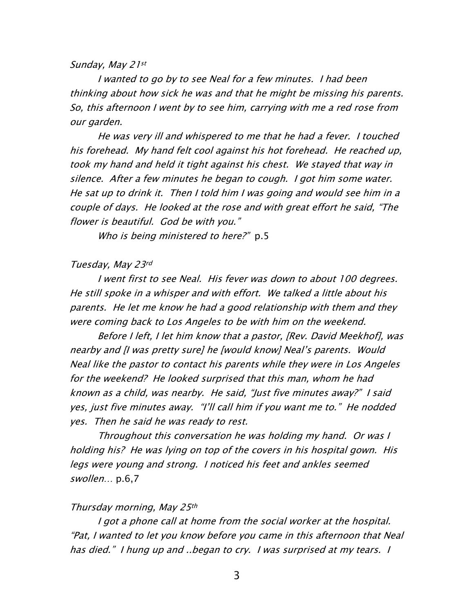#### Sunday, May 21st

I wanted to go by to see Neal for a few minutes. I had been thinking about how sick he was and that he might be missing his parents. So, this afternoon I went by to see him, carrying with me a red rose from our garden.

He was very ill and whispered to me that he had a fever. I touched his forehead. My hand felt cool against his hot forehead. He reached up, took my hand and held it tight against his chest. We stayed that way in silence. After a few minutes he began to cough. I got him some water. He sat up to drink it. Then I told him I was going and would see him in a couple of days. He looked at the rose and with great effort he said, "The flower is beautiful. God be with you."

Who is being ministered to here?" p.5

## Tuesday, May 23rd

I went first to see Neal. His fever was down to about 100 degrees. He still spoke in a whisper and with effort. We talked a little about his parents. He let me know he had a good relationship with them and they were coming back to Los Angeles to be with him on the weekend.

Before I left, I let him know that a pastor, [Rev. David Meekhof], was nearby and [I was pretty sure] he [would know] Neal's parents. Would Neal like the pastor to contact his parents while they were in Los Angeles for the weekend? He looked surprised that this man, whom he had known as a child, was nearby. He said, "Just five minutes away?" I said yes, just five minutes away. "I'll call him if you want me to." He nodded yes. Then he said he was ready to rest.

Throughout this conversation he was holding my hand. Or was I holding his? He was lying on top of the covers in his hospital gown. His legs were young and strong. I noticed his feet and ankles seemed swollen… p.6,7

#### Thursday morning, May 25th

I got a phone call at home from the social worker at the hospital. "Pat, I wanted to let you know before you came in this afternoon that Neal has died." I hung up and ..began to cry. I was surprised at my tears. I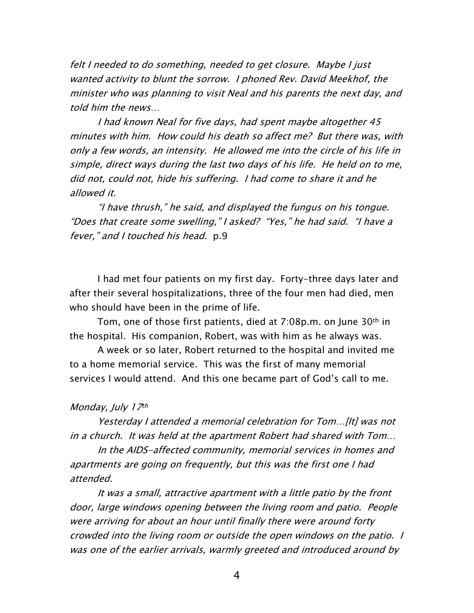felt I needed to do something, needed to get closure. Maybe I just wanted activity to blunt the sorrow. I phoned Rev. David Meekhof, the minister who was planning to visit Neal and his parents the next day, and told him the news…

I had known Neal for five days, had spent maybe altogether 45 minutes with him. How could his death so affect me? But there was, with only a few words, an intensity. He allowed me into the circle of his life in simple, direct ways during the last two days of his life. He held on to me, did not, could not, hide his suffering. I had come to share it and he allowed it.

"I have thrush," he said, and displayed the fungus on his tongue. "Does that create some swelling," I asked? "Yes," he had said. "I have a fever," and I touched his head. p.9

I had met four patients on my first day. Forty-three days later and after their several hospitalizations, three of the four men had died, men who should have been in the prime of life.

Tom, one of those first patients, died at 7:08p.m. on June 30th in the hospital. His companion, Robert, was with him as he always was.

A week or so later, Robert returned to the hospital and invited me to a home memorial service. This was the first of many memorial services I would attend. And this one became part of God's call to me.

## Monday, July  $17<sup>th</sup>$

Yesterday I attended a memorial celebration for Tom…[It] was not in a church. It was held at the apartment Robert had shared with Tom…

In the AIDS-affected community, memorial services in homes and apartments are going on frequently, but this was the first one I had attended.

It was a small, attractive apartment with a little patio by the front door, large windows opening between the living room and patio. People were arriving for about an hour until finally there were around forty crowded into the living room or outside the open windows on the patio. I was one of the earlier arrivals, warmly greeted and introduced around by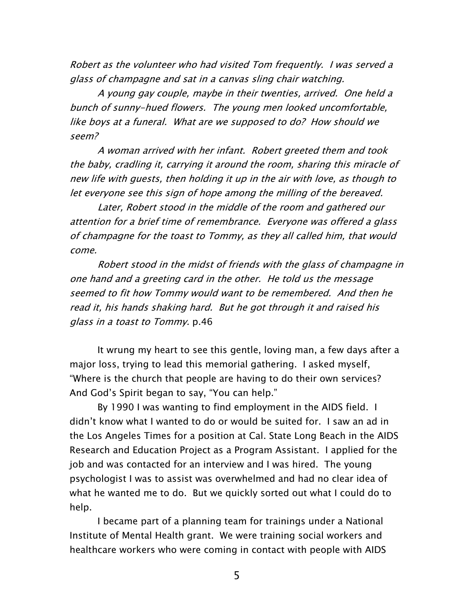Robert as the volunteer who had visited Tom frequently. I was served a glass of champagne and sat in a canvas sling chair watching.

A young gay couple, maybe in their twenties, arrived. One held a bunch of sunny-hued flowers. The young men looked uncomfortable, like boys at a funeral. What are we supposed to do? How should we seem?

A woman arrived with her infant. Robert greeted them and took the baby, cradling it, carrying it around the room, sharing this miracle of new life with guests, then holding it up in the air with love, as though to let everyone see this sign of hope among the milling of the bereaved.

Later, Robert stood in the middle of the room and gathered our attention for a brief time of remembrance. Everyone was offered a glass of champagne for the toast to Tommy, as they all called him, that would come.

Robert stood in the midst of friends with the glass of champagne in one hand and a greeting card in the other. He told us the message seemed to fit how Tommy would want to be remembered. And then he read it, his hands shaking hard. But he got through it and raised his glass in a toast to Tommy. p.46

It wrung my heart to see this gentle, loving man, a few days after a major loss, trying to lead this memorial gathering. I asked myself, "Where is the church that people are having to do their own services? And God's Spirit began to say, "You can help."

By 1990 I was wanting to find employment in the AIDS field. I didn't know what I wanted to do or would be suited for. I saw an ad in the Los Angeles Times for a position at Cal. State Long Beach in the AIDS Research and Education Project as a Program Assistant. I applied for the job and was contacted for an interview and I was hired. The young psychologist I was to assist was overwhelmed and had no clear idea of what he wanted me to do. But we quickly sorted out what I could do to help.

I became part of a planning team for trainings under a National Institute of Mental Health grant. We were training social workers and healthcare workers who were coming in contact with people with AIDS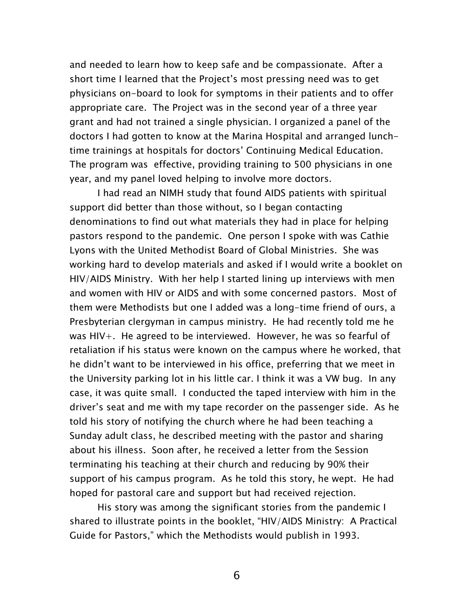and needed to learn how to keep safe and be compassionate. After a short time I learned that the Project's most pressing need was to get physicians on-board to look for symptoms in their patients and to offer appropriate care. The Project was in the second year of a three year grant and had not trained a single physician. I organized a panel of the doctors I had gotten to know at the Marina Hospital and arranged lunchtime trainings at hospitals for doctors' Continuing Medical Education. The program was effective, providing training to 500 physicians in one year, and my panel loved helping to involve more doctors.

I had read an NIMH study that found AIDS patients with spiritual support did better than those without, so I began contacting denominations to find out what materials they had in place for helping pastors respond to the pandemic. One person I spoke with was Cathie Lyons with the United Methodist Board of Global Ministries. She was working hard to develop materials and asked if I would write a booklet on HIV/AIDS Ministry. With her help I started lining up interviews with men and women with HIV or AIDS and with some concerned pastors. Most of them were Methodists but one I added was a long-time friend of ours, a Presbyterian clergyman in campus ministry. He had recently told me he was HIV+. He agreed to be interviewed. However, he was so fearful of retaliation if his status were known on the campus where he worked, that he didn't want to be interviewed in his office, preferring that we meet in the University parking lot in his little car. I think it was a VW bug. In any case, it was quite small. I conducted the taped interview with him in the driver's seat and me with my tape recorder on the passenger side. As he told his story of notifying the church where he had been teaching a Sunday adult class, he described meeting with the pastor and sharing about his illness. Soon after, he received a letter from the Session terminating his teaching at their church and reducing by 90% their support of his campus program. As he told this story, he wept. He had hoped for pastoral care and support but had received rejection.

His story was among the significant stories from the pandemic I shared to illustrate points in the booklet, "HIV/AIDS Ministry: A Practical Guide for Pastors," which the Methodists would publish in 1993.

6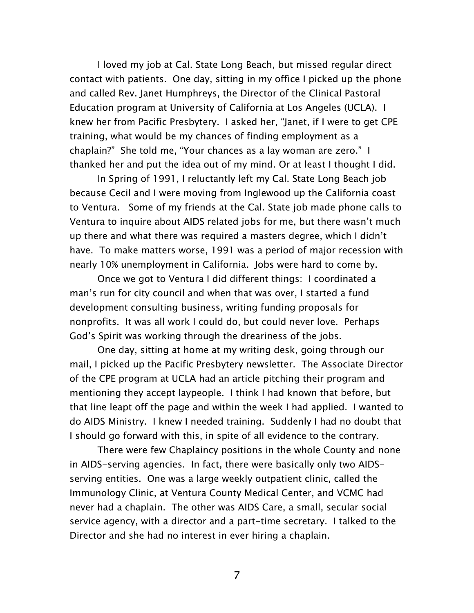I loved my job at Cal. State Long Beach, but missed regular direct contact with patients. One day, sitting in my office I picked up the phone and called Rev. Janet Humphreys, the Director of the Clinical Pastoral Education program at University of California at Los Angeles (UCLA). I knew her from Pacific Presbytery. I asked her, "Janet, if I were to get CPE training, what would be my chances of finding employment as a chaplain?" She told me, "Your chances as a lay woman are zero." I thanked her and put the idea out of my mind. Or at least I thought I did.

In Spring of 1991, I reluctantly left my Cal. State Long Beach job because Cecil and I were moving from Inglewood up the California coast to Ventura. Some of my friends at the Cal. State job made phone calls to Ventura to inquire about AIDS related jobs for me, but there wasn't much up there and what there was required a masters degree, which I didn't have. To make matters worse, 1991 was a period of major recession with nearly 10% unemployment in California. Jobs were hard to come by.

Once we got to Ventura I did different things: I coordinated a man's run for city council and when that was over, I started a fund development consulting business, writing funding proposals for nonprofits. It was all work I could do, but could never love. Perhaps God's Spirit was working through the dreariness of the jobs.

One day, sitting at home at my writing desk, going through our mail, I picked up the Pacific Presbytery newsletter. The Associate Director of the CPE program at UCLA had an article pitching their program and mentioning they accept laypeople. I think I had known that before, but that line leapt off the page and within the week I had applied. I wanted to do AIDS Ministry. I knew I needed training. Suddenly I had no doubt that I should go forward with this, in spite of all evidence to the contrary.

There were few Chaplaincy positions in the whole County and none in AIDS-serving agencies. In fact, there were basically only two AIDSserving entities. One was a large weekly outpatient clinic, called the Immunology Clinic, at Ventura County Medical Center, and VCMC had never had a chaplain. The other was AIDS Care, a small, secular social service agency, with a director and a part-time secretary. I talked to the Director and she had no interest in ever hiring a chaplain.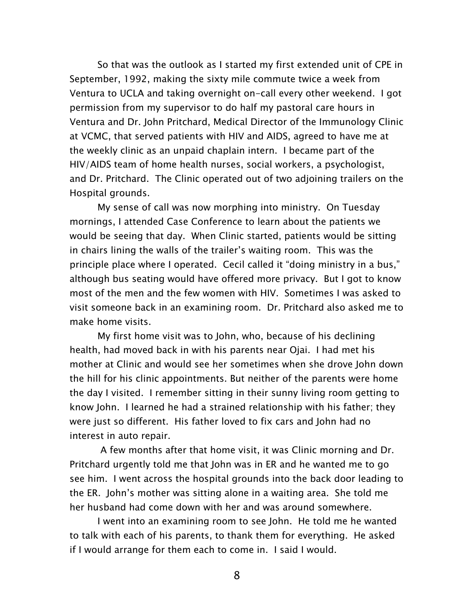So that was the outlook as I started my first extended unit of CPE in September, 1992, making the sixty mile commute twice a week from Ventura to UCLA and taking overnight on-call every other weekend. I got permission from my supervisor to do half my pastoral care hours in Ventura and Dr. John Pritchard, Medical Director of the Immunology Clinic at VCMC, that served patients with HIV and AIDS, agreed to have me at the weekly clinic as an unpaid chaplain intern. I became part of the HIV/AIDS team of home health nurses, social workers, a psychologist, and Dr. Pritchard. The Clinic operated out of two adjoining trailers on the Hospital grounds.

My sense of call was now morphing into ministry. On Tuesday mornings, I attended Case Conference to learn about the patients we would be seeing that day. When Clinic started, patients would be sitting in chairs lining the walls of the trailer's waiting room. This was the principle place where I operated. Cecil called it "doing ministry in a bus," although bus seating would have offered more privacy. But I got to know most of the men and the few women with HIV. Sometimes I was asked to visit someone back in an examining room. Dr. Pritchard also asked me to make home visits.

My first home visit was to John, who, because of his declining health, had moved back in with his parents near Ojai. I had met his mother at Clinic and would see her sometimes when she drove John down the hill for his clinic appointments. But neither of the parents were home the day I visited. I remember sitting in their sunny living room getting to know John. I learned he had a strained relationship with his father; they were just so different. His father loved to fix cars and John had no interest in auto repair.

A few months after that home visit, it was Clinic morning and Dr. Pritchard urgently told me that John was in ER and he wanted me to go see him. I went across the hospital grounds into the back door leading to the ER. John's mother was sitting alone in a waiting area. She told me her husband had come down with her and was around somewhere.

I went into an examining room to see John. He told me he wanted to talk with each of his parents, to thank them for everything. He asked if I would arrange for them each to come in. I said I would.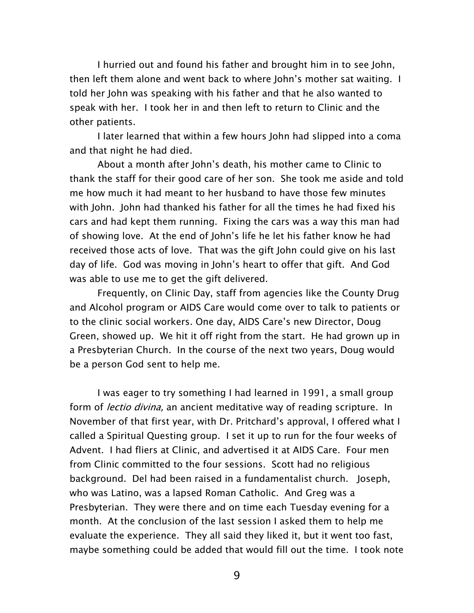I hurried out and found his father and brought him in to see John, then left them alone and went back to where John's mother sat waiting. I told her John was speaking with his father and that he also wanted to speak with her. I took her in and then left to return to Clinic and the other patients.

I later learned that within a few hours John had slipped into a coma and that night he had died.

About a month after John's death, his mother came to Clinic to thank the staff for their good care of her son. She took me aside and told me how much it had meant to her husband to have those few minutes with John. John had thanked his father for all the times he had fixed his cars and had kept them running. Fixing the cars was a way this man had of showing love. At the end of John's life he let his father know he had received those acts of love. That was the gift John could give on his last day of life. God was moving in John's heart to offer that gift. And God was able to use me to get the gift delivered.

Frequently, on Clinic Day, staff from agencies like the County Drug and Alcohol program or AIDS Care would come over to talk to patients or to the clinic social workers. One day, AIDS Care's new Director, Doug Green, showed up. We hit it off right from the start. He had grown up in a Presbyterian Church. In the course of the next two years, Doug would be a person God sent to help me.

I was eager to try something I had learned in 1991, a small group form of *lectio divina*, an ancient meditative way of reading scripture. In November of that first year, with Dr. Pritchard's approval, I offered what I called a Spiritual Questing group. I set it up to run for the four weeks of Advent. I had fliers at Clinic, and advertised it at AIDS Care. Four men from Clinic committed to the four sessions. Scott had no religious background. Del had been raised in a fundamentalist church. Joseph, who was Latino, was a lapsed Roman Catholic. And Greg was a Presbyterian. They were there and on time each Tuesday evening for a month. At the conclusion of the last session I asked them to help me evaluate the experience. They all said they liked it, but it went too fast, maybe something could be added that would fill out the time. I took note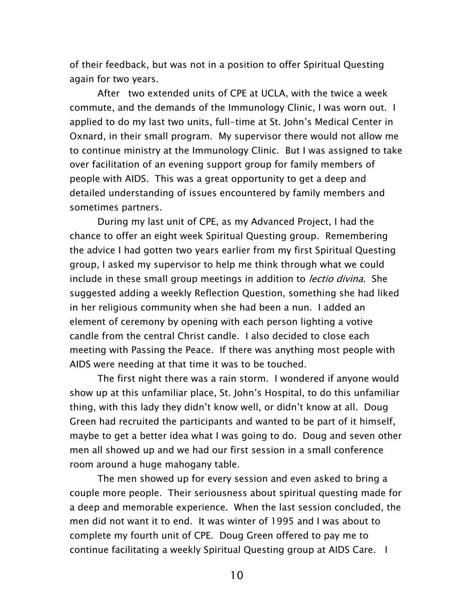of their feedback, but was not in a position to offer Spiritual Questing again for two years.

After two extended units of CPE at UCLA, with the twice a week commute, and the demands of the Immunology Clinic, I was worn out. I applied to do my last two units, full-time at St. John's Medical Center in Oxnard, in their small program. My supervisor there would not allow me to continue ministry at the Immunology Clinic. But I was assigned to take over facilitation of an evening support group for family members of people with AIDS. This was a great opportunity to get a deep and detailed understanding of issues encountered by family members and sometimes partners.

During my last unit of CPE, as my Advanced Project, I had the chance to offer an eight week Spiritual Questing group. Remembering the advice I had gotten two years earlier from my first Spiritual Questing group, I asked my supervisor to help me think through what we could include in these small group meetings in addition to *lectio divina*. She suggested adding a weekly Reflection Question, something she had liked in her religious community when she had been a nun. I added an element of ceremony by opening with each person lighting a votive candle from the central Christ candle. I also decided to close each meeting with Passing the Peace. If there was anything most people with AIDS were needing at that time it was to be touched.

The first night there was a rain storm. I wondered if anyone would show up at this unfamiliar place, St. John's Hospital, to do this unfamiliar thing, with this lady they didn't know well, or didn't know at all. Doug Green had recruited the participants and wanted to be part of it himself, maybe to get a better idea what I was going to do. Doug and seven other men all showed up and we had our first session in a small conference room around a huge mahogany table.

The men showed up for every session and even asked to bring a couple more people. Their seriousness about spiritual questing made for a deep and memorable experience. When the last session concluded, the men did not want it to end. It was winter of 1995 and I was about to complete my fourth unit of CPE. Doug Green offered to pay me to continue facilitating a weekly Spiritual Questing group at AIDS Care. I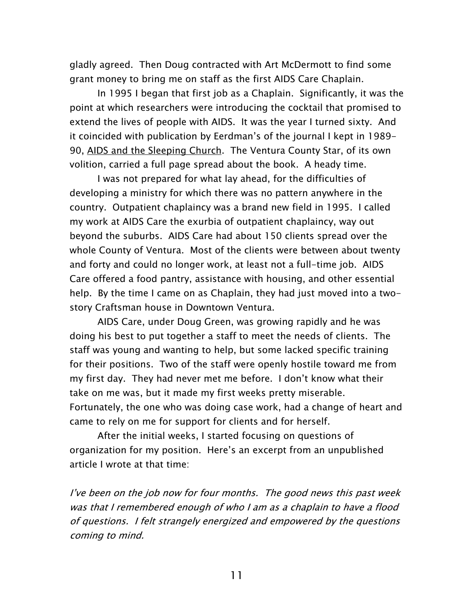gladly agreed. Then Doug contracted with Art McDermott to find some grant money to bring me on staff as the first AIDS Care Chaplain.

In 1995 I began that first job as a Chaplain. Significantly, it was the point at which researchers were introducing the cocktail that promised to extend the lives of people with AIDS. It was the year I turned sixty. And it coincided with publication by Eerdman's of the journal I kept in 1989- 90, AIDS and the Sleeping Church. The Ventura County Star, of its own volition, carried a full page spread about the book. A heady time.

I was not prepared for what lay ahead, for the difficulties of developing a ministry for which there was no pattern anywhere in the country. Outpatient chaplaincy was a brand new field in 1995. I called my work at AIDS Care the exurbia of outpatient chaplaincy, way out beyond the suburbs. AIDS Care had about 150 clients spread over the whole County of Ventura. Most of the clients were between about twenty and forty and could no longer work, at least not a full-time job. AIDS Care offered a food pantry, assistance with housing, and other essential help. By the time I came on as Chaplain, they had just moved into a twostory Craftsman house in Downtown Ventura.

AIDS Care, under Doug Green, was growing rapidly and he was doing his best to put together a staff to meet the needs of clients. The staff was young and wanting to help, but some lacked specific training for their positions. Two of the staff were openly hostile toward me from my first day. They had never met me before. I don't know what their take on me was, but it made my first weeks pretty miserable. Fortunately, the one who was doing case work, had a change of heart and came to rely on me for support for clients and for herself.

After the initial weeks, I started focusing on questions of organization for my position. Here's an excerpt from an unpublished article I wrote at that time:

I've been on the job now for four months. The good news this past week was that I remembered enough of who I am as a chaplain to have a flood of questions. I felt strangely energized and empowered by the questions coming to mind.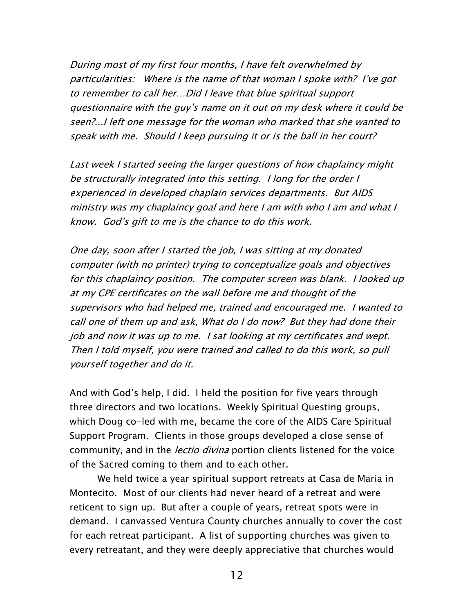During most of my first four months, I have felt overwhelmed by particularities: Where is the name of that woman I spoke with? I've got to remember to call her…Did I leave that blue spiritual support questionnaire with the guy's name on it out on my desk where it could be seen?...I left one message for the woman who marked that she wanted to speak with me. Should I keep pursuing it or is the ball in her court?

Last week I started seeing the larger questions of how chaplaincy might be structurally integrated into this setting. I long for the order I experienced in developed chaplain services departments. But AIDS ministry was my chaplaincy goal and here I am with who I am and what I know. God's gift to me is the chance to do this work.

One day, soon after I started the job, I was sitting at my donated computer (with no printer) trying to conceptualize goals and objectives for this chaplaincy position. The computer screen was blank. I looked up at my CPE certificates on the wall before me and thought of the supervisors who had helped me, trained and encouraged me. I wanted to call one of them up and ask, What do I do now? But they had done their job and now it was up to me. I sat looking at my certificates and wept. Then I told myself, you were trained and called to do this work, so pull yourself together and do it.

And with God's help, I did. I held the position for five years through three directors and two locations. Weekly Spiritual Questing groups, which Doug co-led with me, became the core of the AIDS Care Spiritual Support Program. Clients in those groups developed a close sense of community, and in the *lectio divina* portion clients listened for the voice of the Sacred coming to them and to each other.

We held twice a year spiritual support retreats at Casa de Maria in Montecito. Most of our clients had never heard of a retreat and were reticent to sign up. But after a couple of years, retreat spots were in demand. I canvassed Ventura County churches annually to cover the cost for each retreat participant. A list of supporting churches was given to every retreatant, and they were deeply appreciative that churches would